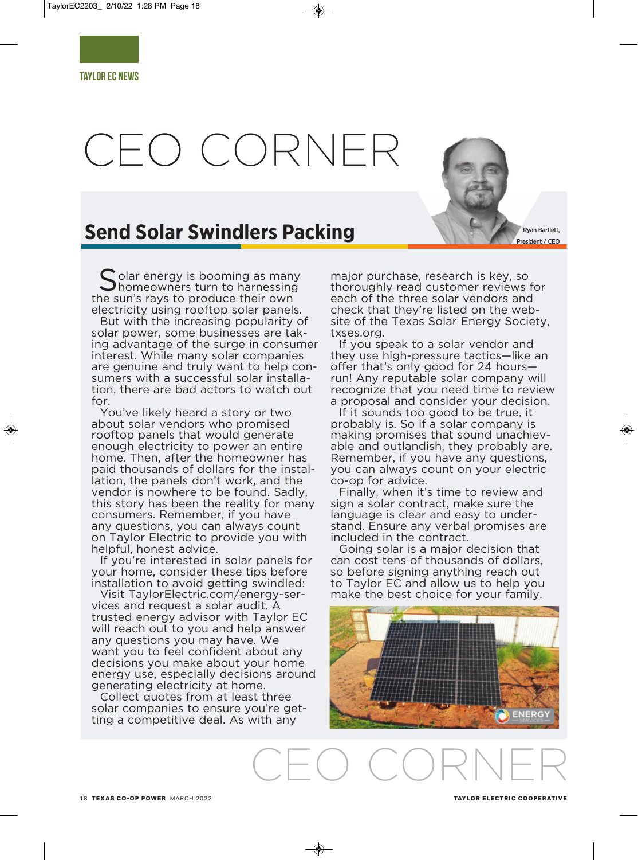# CEO CORNER



I olar energy is booming as many **Thomeowners turn to harnessing** the sun's rays to produce their own electricity using rooftop solar panels.

But with the increasing popularity of solar power, some businesses are taking advantage of the surge in consumer interest. While many solar companies are genuine and truly want to help consumers with a successful solar installation, there are bad actors to watch out for.

You've likely heard a story or two about solar vendors who promised rooftop panels that would generate enough electricity to power an entire home. Then, after the homeowner has paid thousands of dollars for the installation, the panels don't work, and the vendor is nowhere to be found. Sadly, this story has been the reality for many consumers. Remember, if you have any questions, you can always count on Taylor Electric to provide you with helpful, honest advice.

If you're interested in solar panels for your home, consider these tips before installation to avoid getting swindled:

Visit TaylorElectric.com/energy-services and request a solar audit. A trusted energy advisor with Taylor EC will reach out to you and help answer any questions you may have. We want you to feel confident about any decisions you make about your home energy use, especially decisions around generating electricity at home.

Collect quotes from at least three solar companies to ensure you're getting a competitive deal. As with any

major purchase, research is key, so thoroughly read customer reviews for each of the three solar vendors and check that they're listed on the website of the Texas Solar Energy Society, txses.org.

Ryan Bartlett, President / CEO

If you speak to a solar vendor and they use high-pressure tactics—like an offer that's only good for 24 hoursrun! Any reputable solar company will recognize that you need time to review a proposal and consider your decision.

If it sounds too good to be true, it probably is. So if a solar company is making promises that sound unachievable and outlandish, they probably are. Remember, if you have any questions, you can always count on your electric co-op for advice.

Finally, when it's time to review and sign a solar contract, make sure the language is clear and easy to understand. Ensure any verbal promises are included in the contract.

Going solar is a major decision that can cost tens of thousands of dollars, so before signing anything reach out to Taylor EC and allow us to help you make the best choice for your family.



CEO CORNER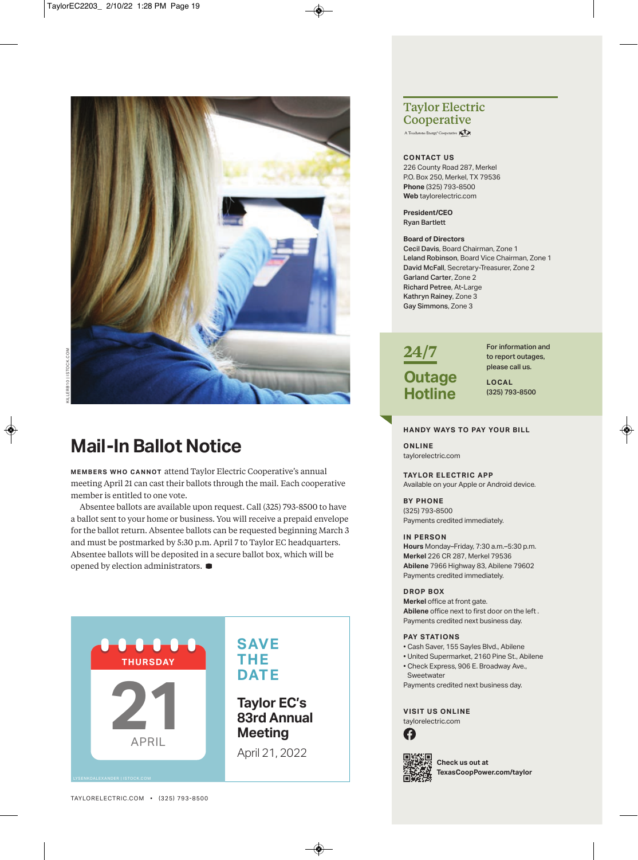

## **Mail-In Ballot Notice**

**MEMBERS WHO CANNOT** attend Taylor Electric Cooperative's annual meeting April 21 can cast their ballots through the mail. Each cooperative member is entitled to one vote.

Absentee ballots are available upon request. Call (325) 793-8500 to have a ballot sent to your home or business. You will receive a prepaid envelope for the ballot return. Absentee ballots can be requested beginning March 3 and must be postmarked by 5:30 p.m. April 7 to Taylor EC headquarters. Absentee ballots will be deposited in a secure ballot box, which will be opened by election administrators. **D**



### **Taylor Electric Cooperative**

A Touchstone Energy<sup>®</sup> Cooperative

#### **coNtact us**

226 County Road 287, Merkel P.O. Box 250, Merkel, TX 79536 **Phone** (325) 793-8500 **web** taylorelectric.com

**President/ceo**  Ryan Bartlett

#### **Board of Directors**

Cecil Davis, board chairman, Zone 1 Leland Robinson, board Vice chairman, Zone 1 David McFall, Secretary-Treasurer, Zone 2 Garland Carter, Zone 2 Richard Petree, at-large Kathryn Rainey, Zone 3 Gay Simmons, Zone 3



For information and to report outages, please call us.

**LocaL** (325) 793-8500

#### **haNDY waYs to PaY Your BILL**

**oNLINe** taylorelectric.com

#### **taYLor eLectrIc aPP**

Available on your Apple or Android device.

**BY PhoNe**  (325) 793-8500 payments credited immediately.

#### **IN PersoN**

**hours** monday–Friday, 7:30 a.m.–5:30 p.m. **Merkel** 226 CR 287, Merkel 79536 **abilene** 7966 Highway 83, abilene 79602 payments credited immediately.

#### **DroP Box**

**Merkel** office at front gate. **abilene** office next to first door on the left . payments credited next business day.

#### **PaY statIoNs**

- cash Saver, 155 Sayles blvd., abilene
- United Supermarket, 2160 pine St., abilene
- Check Express, 906 E. Broadway Ave., **Sweetwater**
- payments credited next business day.

#### **vIsIt us oNLINe**

taylorelectric.com





**check us out at texascoopPower.com/taylor**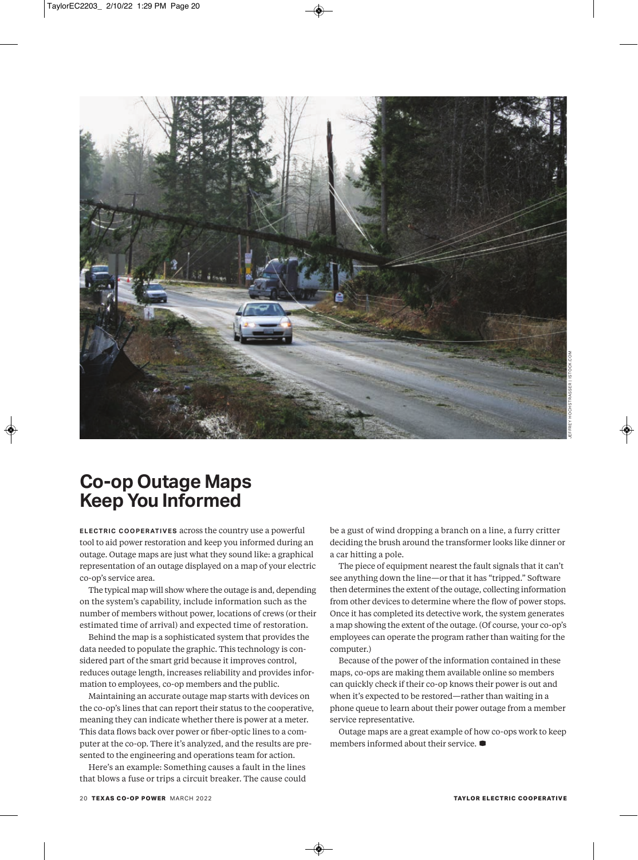

## **Co-op Outage Maps Keep You Informed**

**ELECTRIC COOPERATIVES** across the country use a powerful tool to aid power restoration and keep you informed during an outage. Outage maps are just what they sound like: a graphical representation of an outage displayed on a map of your electric co-op's service area.

The typical map will show where the outage is and, depending on the system's capability, include information such as the number of members without power, locations of crews (or their estimated time of arrival) and expected time of restoration.

Behind the map is a sophisticated system that provides the data needed to populate the graphic. This technology is considered part of the smart grid because it improves control, reduces outage length, increases reliability and provides information to employees, co-op members and the public.

Maintaining an accurate outage map starts with devices on the co-op's lines that can report their status to the cooperative, meaning they can indicate whether there is power at a meter. This data flows back over power or fiber-optic lines to a computer at the co-op. There it's analyzed, and the results are presented to the engineering and operations team for action.

Here's an example: Something causes a fault in the lines that blows a fuse or trips a circuit breaker. The cause could

be a gust of wind dropping a branch on a line, a furry critter deciding the brush around the transformer looks like dinner or a car hitting a pole.

The piece of equipment nearest the fault signals that it can't see anything down the line—or that it has "tripped." Software then determines the extent of the outage, collecting information from other devices to determine where the flow of power stops. Once it has completed its detective work, the system generates a map showing the extent of the outage. (Of course, your co-op's employees can operate the program rather than waiting for the computer.)

Because of the power of the information contained in these maps, co-ops are making them available online so members can quickly check if their co-op knows their power is out and when it's expected to be restored—rather than waiting in a phone queue to learn about their power outage from a member service representative.

Outage maps are a great example of how co-ops work to keep members informed about their service. **D**